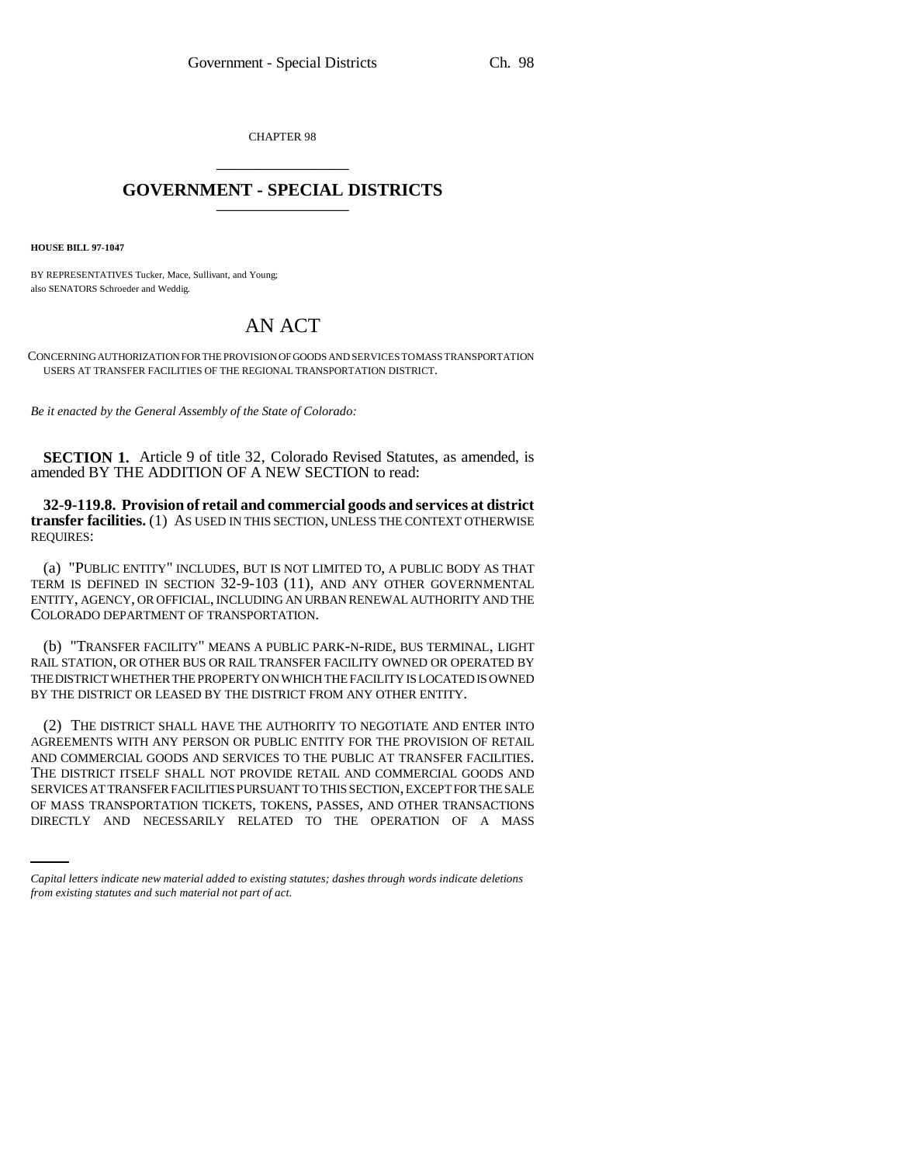CHAPTER 98 \_\_\_\_\_\_\_\_\_\_\_\_\_\_\_

## **GOVERNMENT - SPECIAL DISTRICTS** \_\_\_\_\_\_\_\_\_\_\_\_\_\_\_

**HOUSE BILL 97-1047**

BY REPRESENTATIVES Tucker, Mace, Sullivant, and Young; also SENATORS Schroeder and Weddig.

## AN ACT

CONCERNING AUTHORIZATION FOR THE PROVISION OF GOODS AND SERVICES TO MASS TRANSPORTATION USERS AT TRANSFER FACILITIES OF THE REGIONAL TRANSPORTATION DISTRICT.

*Be it enacted by the General Assembly of the State of Colorado:*

**SECTION 1.** Article 9 of title 32, Colorado Revised Statutes, as amended, is amended BY THE ADDITION OF A NEW SECTION to read:

**32-9-119.8. Provision of retail and commercial goods and services at district transfer facilities.** (1) AS USED IN THIS SECTION, UNLESS THE CONTEXT OTHERWISE REQUIRES:

(a) "PUBLIC ENTITY" INCLUDES, BUT IS NOT LIMITED TO, A PUBLIC BODY AS THAT TERM IS DEFINED IN SECTION 32-9-103 (11), AND ANY OTHER GOVERNMENTAL ENTITY, AGENCY, OR OFFICIAL, INCLUDING AN URBAN RENEWAL AUTHORITY AND THE COLORADO DEPARTMENT OF TRANSPORTATION.

(b) "TRANSFER FACILITY" MEANS A PUBLIC PARK-N-RIDE, BUS TERMINAL, LIGHT RAIL STATION, OR OTHER BUS OR RAIL TRANSFER FACILITY OWNED OR OPERATED BY THE DISTRICT WHETHER THE PROPERTY ON WHICH THE FACILITY IS LOCATED IS OWNED BY THE DISTRICT OR LEASED BY THE DISTRICT FROM ANY OTHER ENTITY.

SERVICES AT TRANSFER FACILITIES PURSUANT TO THIS SECTION, EXCEPT FOR THE SALE (2) THE DISTRICT SHALL HAVE THE AUTHORITY TO NEGOTIATE AND ENTER INTO AGREEMENTS WITH ANY PERSON OR PUBLIC ENTITY FOR THE PROVISION OF RETAIL AND COMMERCIAL GOODS AND SERVICES TO THE PUBLIC AT TRANSFER FACILITIES. THE DISTRICT ITSELF SHALL NOT PROVIDE RETAIL AND COMMERCIAL GOODS AND OF MASS TRANSPORTATION TICKETS, TOKENS, PASSES, AND OTHER TRANSACTIONS DIRECTLY AND NECESSARILY RELATED TO THE OPERATION OF A MASS

*Capital letters indicate new material added to existing statutes; dashes through words indicate deletions from existing statutes and such material not part of act.*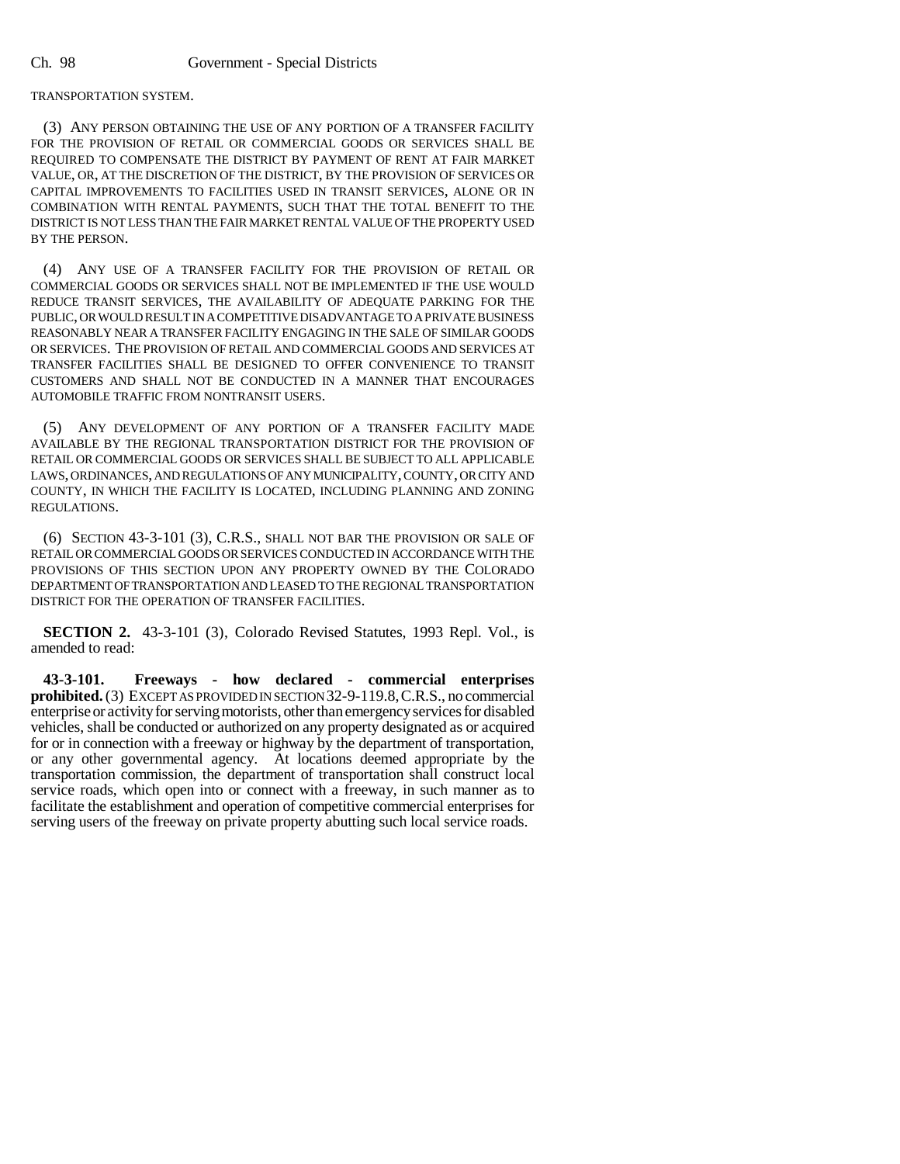TRANSPORTATION SYSTEM.

(3) ANY PERSON OBTAINING THE USE OF ANY PORTION OF A TRANSFER FACILITY FOR THE PROVISION OF RETAIL OR COMMERCIAL GOODS OR SERVICES SHALL BE REQUIRED TO COMPENSATE THE DISTRICT BY PAYMENT OF RENT AT FAIR MARKET VALUE, OR, AT THE DISCRETION OF THE DISTRICT, BY THE PROVISION OF SERVICES OR CAPITAL IMPROVEMENTS TO FACILITIES USED IN TRANSIT SERVICES, ALONE OR IN COMBINATION WITH RENTAL PAYMENTS, SUCH THAT THE TOTAL BENEFIT TO THE DISTRICT IS NOT LESS THAN THE FAIR MARKET RENTAL VALUE OF THE PROPERTY USED BY THE PERSON.

(4) ANY USE OF A TRANSFER FACILITY FOR THE PROVISION OF RETAIL OR COMMERCIAL GOODS OR SERVICES SHALL NOT BE IMPLEMENTED IF THE USE WOULD REDUCE TRANSIT SERVICES, THE AVAILABILITY OF ADEQUATE PARKING FOR THE PUBLIC, OR WOULD RESULT IN A COMPETITIVE DISADVANTAGE TO A PRIVATE BUSINESS REASONABLY NEAR A TRANSFER FACILITY ENGAGING IN THE SALE OF SIMILAR GOODS OR SERVICES. THE PROVISION OF RETAIL AND COMMERCIAL GOODS AND SERVICES AT TRANSFER FACILITIES SHALL BE DESIGNED TO OFFER CONVENIENCE TO TRANSIT CUSTOMERS AND SHALL NOT BE CONDUCTED IN A MANNER THAT ENCOURAGES AUTOMOBILE TRAFFIC FROM NONTRANSIT USERS.

(5) ANY DEVELOPMENT OF ANY PORTION OF A TRANSFER FACILITY MADE AVAILABLE BY THE REGIONAL TRANSPORTATION DISTRICT FOR THE PROVISION OF RETAIL OR COMMERCIAL GOODS OR SERVICES SHALL BE SUBJECT TO ALL APPLICABLE LAWS, ORDINANCES, AND REGULATIONS OF ANY MUNICIPALITY, COUNTY, OR CITY AND COUNTY, IN WHICH THE FACILITY IS LOCATED, INCLUDING PLANNING AND ZONING REGULATIONS.

(6) SECTION 43-3-101 (3), C.R.S., SHALL NOT BAR THE PROVISION OR SALE OF RETAIL OR COMMERCIAL GOODS OR SERVICES CONDUCTED IN ACCORDANCE WITH THE PROVISIONS OF THIS SECTION UPON ANY PROPERTY OWNED BY THE COLORADO DEPARTMENT OF TRANSPORTATION AND LEASED TO THE REGIONAL TRANSPORTATION DISTRICT FOR THE OPERATION OF TRANSFER FACILITIES.

**SECTION 2.** 43-3-101 (3), Colorado Revised Statutes, 1993 Repl. Vol., is amended to read:

**43-3-101. Freeways - how declared - commercial enterprises prohibited.** (3) EXCEPT AS PROVIDED IN SECTION 32-9-119.8,C.R.S., no commercial enterprise or activity for serving motorists, other than emergency services for disabled vehicles, shall be conducted or authorized on any property designated as or acquired for or in connection with a freeway or highway by the department of transportation, or any other governmental agency. At locations deemed appropriate by the transportation commission, the department of transportation shall construct local service roads, which open into or connect with a freeway, in such manner as to facilitate the establishment and operation of competitive commercial enterprises for serving users of the freeway on private property abutting such local service roads.